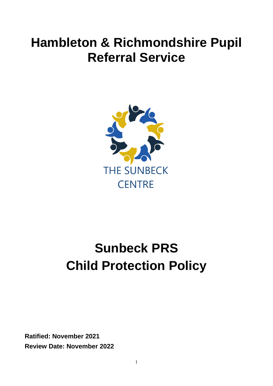# **Hambleton & Richmondshire Pupil Referral Service**



# **Sunbeck PRS Child Protection Policy**

**Ratified: November 2021 Review Date: November 2022**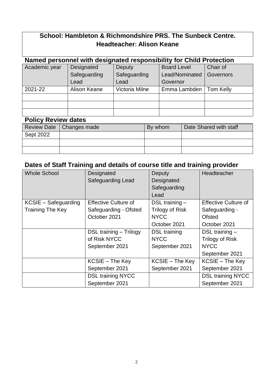# **School: Hambleton & Richmondshire PRS. The Sunbeck Centre. Headteacher: Alison Keane**

# **Named personnel with designated responsibility for Child Protection**

| Academic year | Designated   | Deputy         | <b>Board Level</b> | Chair of  |
|---------------|--------------|----------------|--------------------|-----------|
|               | Safeguarding | Safeguarding   | Lead/Nominated     | Governors |
|               | Lead         | Lead           | Governor           |           |
| 2021-22       | Alison Keane | Victoria Milne | Emma Lambden       | Tom Kelly |
|               |              |                |                    |           |
|               |              |                |                    |           |
|               |              |                |                    |           |

# **Policy Review dates**

|           | Review Date   Changes made | By whom | Date Shared with staff |
|-----------|----------------------------|---------|------------------------|
| Sept 2022 |                            |         |                        |
|           |                            |         |                        |
|           |                            |         |                        |

# **Dates of Staff Training and details of course title and training provider**

| <b>Whole School</b>     | Designated                  | Deputy                 | Headteacher                 |
|-------------------------|-----------------------------|------------------------|-----------------------------|
|                         | <b>Safeguarding Lead</b>    | Designated             |                             |
|                         |                             | Safeguarding           |                             |
|                         |                             | Lead                   |                             |
| KCSIE - Safeguarding    | <b>Effective Culture of</b> | DSL training $-$       | <b>Effective Culture of</b> |
| <b>Training The Key</b> | Safeguarding - Ofsted       | <b>Trilogy of Risk</b> | Safeguarding -              |
|                         | October 2021                | <b>NYCC</b>            | Ofsted                      |
|                         |                             | October 2021           | October 2021                |
|                         | DSL training - Trilogy      | <b>DSL</b> training    | DSL training $-$            |
|                         | of Risk NYCC                | <b>NYCC</b>            | <b>Trilogy of Risk</b>      |
|                         | September 2021              | September 2021         | <b>NYCC</b>                 |
|                         |                             |                        | September 2021              |
|                         | $KCSIE - The Key$           | KCSIE - The Key        | KCSIE - The Key             |
|                         | September 2021              | September 2021         | September 2021              |
|                         | <b>DSL training NYCC</b>    |                        | <b>DSL training NYCC</b>    |
|                         | September 2021              |                        | September 2021              |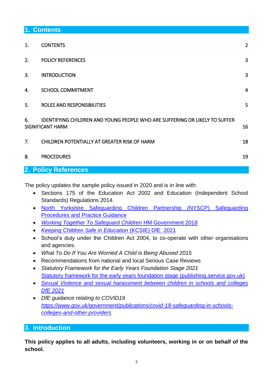## <span id="page-2-0"></span>**1. Contents**

| 1. | <b>CONTENTS</b>                                                                                        | $\overline{2}$ |
|----|--------------------------------------------------------------------------------------------------------|----------------|
| 2. | <b>POLICY REFERENCES</b>                                                                               | 3              |
| 3. | <b>INTRODUCTION</b>                                                                                    | $\mathbf{3}$   |
| 4. | <b>SCHOOL COMMITMENT</b>                                                                               | $\overline{4}$ |
| 5. | <b>ROLES AND RESPONSIBILITIES</b>                                                                      | 5              |
| 6. | <b>IDENTIFYING CHILDREN AND YOUNG PEOPLE WHO ARE SUFFERING OR LIKELY TO SUFFER</b><br>SIGNIFICANT HARM | 16             |
| 7. | CHILDREN POTENTIALLY AT GREATER RISK OF HARM                                                           | 18             |
| 8. | <b>PROCEDURES</b>                                                                                      | 19             |
|    | 2. Policy References                                                                                   |                |

<span id="page-2-1"></span>The policy updates the sample policy issued in 2020 and is in line with:

- Sections 175 of the Education Act 2002 and Education (Independent School Standards) Regulations 2014.
- North Yorkshire Safeguarding Children Partnership (NYSCP) Safeguarding **[Procedures and Practice Guidance](https://www.safeguardingchildren.co.uk/professionals/)**
- *[Working Together To Safeguard Children](https://www.gov.uk/government/publications/working-together-to-safeguard-children--2)* HM Government 2018
- *[Keeping Children Safe in Education](https://www.gov.uk/government/publications/keeping-children-safe-in-education--2)* (KCSIE) DfE 2021
- School's duty under the Children Act 2004, to co-operate with other organisations and agencies.
- *What To Do If You Are Worried A Child is Being Abused* 2015
- Recommendations from national and local Serious Case Reviews
- *Statutory Framework for the Early Years Foundation Stage 2021* [Statutory framework for the early years foundation stage \(publishing.service.gov.uk\)](https://assets.publishing.service.gov.uk/government/uploads/system/uploads/attachment_data/file/974907/EYFS_framework_-_March_2021.pdf)
- *[Sexual Violence and sexual harassment between children in schools and colleges](https://assets.publishing.service.gov.uk/government/uploads/system/uploads/attachment_data/file/999239/SVSH_2021.pdf)  [DfE 2021](https://assets.publishing.service.gov.uk/government/uploads/system/uploads/attachment_data/file/999239/SVSH_2021.pdf)*
- *DfE guidance relating to COVID19 [https://www.gov.uk/government/publications/covid-19-safeguarding-in-schools](https://www.gov.uk/government/publications/covid-19-safeguarding-in-schools-colleges-and-other-providers)[colleges-and-other-providers](https://www.gov.uk/government/publications/covid-19-safeguarding-in-schools-colleges-and-other-providers)*

## <span id="page-2-2"></span>**3. Introduction**

**This policy applies to all adults, including volunteers, working in or on behalf of the school.**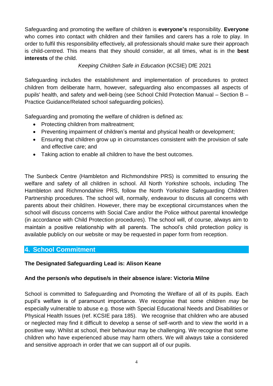Safeguarding and promoting the welfare of children is **everyone's** responsibility. **Everyone** who comes into contact with children and their families and carers has a role to play. In order to fulfil this responsibility effectively, all professionals should make sure their approach is child-centred. This means that they should consider, at all times, what is in the **best interests** of the child.

## *Keeping Children Safe in Education* (KCSIE) DfE 2021

Safeguarding includes the establishment and implementation of procedures to protect children from deliberate harm, however, safeguarding also encompasses all aspects of pupils' health, and safety and well-being (see School Child Protection Manual – Section B – Practice Guidance/Related school safeguarding policies).

Safeguarding and promoting the welfare of children is defined as:

- Protecting children from maltreatment;
- Preventing impairment of children's mental and physical health or development;
- Ensuring that children grow up in circumstances consistent with the provision of safe and effective care; and
- Taking action to enable all children to have the best outcomes.

The Sunbeck Centre (Hambleton and Richmondshire PRS) is committed to ensuring the welfare and safety of all children in school. All North Yorkshire schools, including The Hambleton and Richmondahire PRS, follow the North Yorkshire Safeguarding Children Partnership procedures. The school will, normally, endeavour to discuss all concerns with parents about their child/ren. However, there may be exceptional circumstances when the school will discuss concerns with Social Care and/or the Police without parental knowledge (in accordance with Child Protection procedures). The school will, of course, always aim to maintain a positive relationship with all parents. The school's child protection policy is available publicly on our website or may be requested in paper form from reception.

## <span id="page-3-0"></span>**4. School Commitment**

## **The Designated Safeguarding Lead is: Alison Keane**

## **And the person/s who deputise/s in their absence is/are: Victoria Milne**

School is committed to Safeguarding and Promoting the Welfare of all of its pupils*.* Each pupil's welfare is of paramount importance. We recognise that some children *may* be especially vulnerable to abuse e.g. those with Special Educational Needs and Disabilities or Physical Health Issues (ref. KCSIE para 185). We recognise that children who are abused or neglected may find it difficult to develop a sense of self-worth and to view the world in a positive way. Whilst at school, their behaviour may be challenging. We recognise that some children who have experienced abuse may harm others. We will always take a considered and sensitive approach in order that we can support all of our pupils.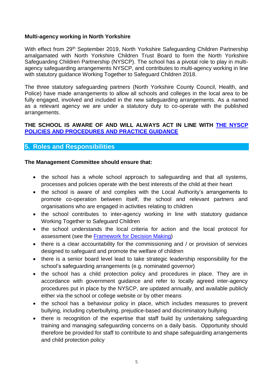#### **Multi-agency working in North Yorkshire**

With effect from 29<sup>th</sup> September 2019, North Yorkshire Safeguarding Children Partnership amalgamated with North Yorkshire Children Trust Board to form the North Yorkshire Safeguarding Children Partnership (NYSCP). The school has a pivotal role to play in multiagency safeguarding arrangements NYSCP, and contributes to multi-agency working in line with statutory guidance Working Together to Safeguard Children 2018.

The three statutory safeguarding partners (North Yorkshire County Council, Health, and Police) have made arrangements to allow all schools and colleges in the local area to be fully engaged, involved and included in the new safeguarding arrangements. As a named as a relevant agency we are under a statutory duty to co-operate with the published arrangements.

#### **THE SCHOOL IS AWARE OF AND WILL ALWAYS ACT IN LINE WITH [THE NYSCP](http://www.safeguardingchildren.co.uk/) [POLICIES AND PROCEDURES AND PRACTICE GUIDANCE](http://www.safeguardingchildren.co.uk/)**

## <span id="page-4-0"></span>**5. Roles and Responsibilities**

#### **The Management Committee should ensure that:**

- the school has a whole school approach to safeguarding and that all systems, processes and policies operate with the best interests of the child at their heart
- the school is aware of and complies with the Local Authority's arrangements to promote co-operation between itself, the school and relevant partners and organisations who are engaged in activities relating to children
- the school contributes to inter-agency working in line with statutory quidance Working [Together to Safeguard](https://www.gov.uk/government/publications/working-together-to-safeguard-children--2) Children
- the school understands the local criteria for action and the local protocol for assessment (see the [Framework for Decision Making\)](https://www.safeguardingchildren.co.uk/professionals/practice-guidance/threshold-document/)
- there is a clear accountability for the commissioning and / or provision of services designed to safeguard and promote the welfare of children
- there is a senior board level lead to take strategic leadership responsibility for the school's safeguarding arrangements (e.g. nominated governor)
- the school has a child protection policy and procedures in place. They are in accordance with government guidance and refer to locally agreed inter-agency procedures put in place by the NYSCP, are updated annually, and available publicly either via the school or college website or by other means
- the school has a behaviour policy in place, which includes measures to prevent bullying, including cyberbullying, prejudice-based and discriminatory bullying
- there is recognition of the expertise that staff build by undertaking safeguarding training and managing safeguarding concerns on a daily basis. Opportunity should therefore be provided for staff to contribute to and shape safeguarding arrangements and child protection policy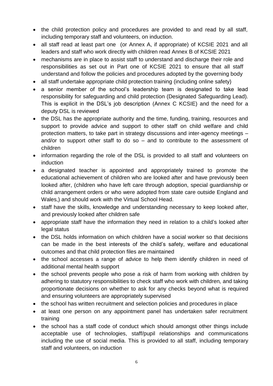- the child protection policy and procedures are provided to and read by all staff, including temporary staff and volunteers, on induction.
- all staff read at least part one (or Annex A, if appropriate) of KCSIE 2021 and all leaders and staff who work directly with children read Annex B of KCSIE 2021
- mechanisms are in place to assist staff to understand and discharge their role and responsibilities as set out in Part one of KCSIE 2021 to ensure that all staff understand and follow the policies and procedures adopted by the governing body
- all staff undertake appropriate child protection training (including online safety)
- a senior member of the school's leadership team is designated to take lead responsibility for safeguarding and child protection (Designated Safeguarding Lead). This is explicit in the DSL's job description (Annex C KCSIE) and the need for a deputy DSL is reviewed
- the DSL has the appropriate authority and the time, funding, training, resources and support to provide advice and support to other staff on child welfare and child protection matters, to take part in strategy discussions and inter-agency meetings – and/or to support other staff to do so  $-$  and to contribute to the assessment of children
- information regarding the role of the DSL is provided to all staff and volunteers on induction
- a designated teacher is appointed and appropriately trained to promote the educational achievement of children who are looked after and have previously been looked after, (children who have left care through adoption, special guardianship or child arrangement orders or who were adopted from state care outside England and Wales,) and should work with the Virtual School Head.
- staff have the skills, knowledge and understanding necessary to keep looked after, and previously looked after children safe
- appropriate staff have the information they need in relation to a child's looked after legal status
- the DSL holds information on which children have a social worker so that decisions can be made in the best interests of the child's safety, welfare and educational outcomes and that child protection files are maintained
- the school accesses a range of advice to help them identify children in need of additional mental health support
- the school prevents people who pose a risk of harm from working with children by adhering to statutory responsibilities to check staff who work with children*,* and taking proportionate decisions on whether to ask for any checks beyond what is required and ensuring volunteers are appropriately supervised
- the school has written recruitment and selection policies and procedures in place
- at least one person on any appointment panel has undertaken safer recruitment training
- the school has a staff code of conduct which should amongst other things include acceptable use of technologies, staff/pupil relationships and communications including the use of social media. This is provided to all staff, including temporary staff and volunteers, on induction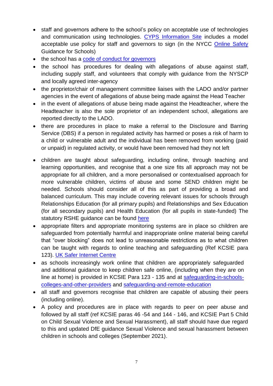- staff and governors adhere to the school's policy on acceptable use of technologies and communication using technologies. CYPS [Information Site](https://cyps.northyorks.gov.uk/health-wellbeing-pshe) includes a model acceptable use policy for staff and governors to sign (in the NYCC [Online Safety](https://cyps.northyorks.gov.uk/online-safety) Guidance for Schools)
- the school has a [code of conduct for](https://www.nga.org.uk/codeofconduct2017) governors
- the school has procedures for dealing with allegations of abuse against staff, including supply staff, and volunteers that comply with guidance from the NYSCP and locally agreed inter-agency
- the proprietor/chair of management committee liaises with the LADO and/or partner agencies in the event of allegations of abuse being made against the Head Teacher
- in the event of allegations of abuse being made against the Headteacher, where the Headteacher is also the sole proprietor of an independent school, allegations are reported directly to the LADO.
- there are procedures in place to make a referral to the Disclosure and Barring Service (DBS) if a person in regulated activity has harmed or poses a risk of harm to a child or vulnerable adult and the individual has been removed from working (paid or unpaid) in regulated activity, or would have been removed had they not left
- children are taught about safeguarding, including online, through teaching and learning opportunities, and recognise that a one size fits all approach may not be appropriate for all children, and a more personalised or contextualised approach for more vulnerable children, victims of abuse and some SEND children might be needed. Schools should consider all of this as part of providing a broad and balanced curriculum. This may include covering relevant issues for schools through Relationships Education (for all primary pupils) and Relationships and Sex Education (for all secondary pupils) and Health Education (for all pupils in state-funded) The statutory RSHE guidance can be found [here](https://www.gov.uk/government/publications/relationships-education-relationships-and-sex-education-rse-and-health-education)
- appropriate filters and appropriate monitoring systems are in place so children are safeguarded from potentially harmful and inappropriate online material being careful that "over blocking" does not lead to unreasonable restrictions as to what children can be taught with regards to online teaching and safeguarding (Ref KCSIE para 123). [UK Safer Internet Centre](https://www.saferinternet.org.uk/advice-centre/teachers-and-school-staff/appropriate-filtering-and-monitoring)
- as schools increasingly work online that children are appropriately safeguarded and additional guidance to keep children safe online, (including when they are on line at home) is provided in KCSIE Para 123 - 135 and at [safeguarding-in-schools](https://www.gov.uk/government/publications/covid-19-safeguarding-in-schools-colleges-and-other-providers/coronavirus-covid-19-safeguarding-in-schools-colleges-and-other-providers)[colleges-and-other-providers](https://www.gov.uk/government/publications/covid-19-safeguarding-in-schools-colleges-and-other-providers/coronavirus-covid-19-safeguarding-in-schools-colleges-and-other-providers) and [safeguarding-and-remote-education](https://www.gov.uk/guidance/safeguarding-and-remote-education-during-coronavirus-covid-19)
- all staff and governors recognise that children are capable of abusing their peers (including online).
- A policy and procedures are in place with regards to peer on peer abuse and followed by all staff (ref KCSIE paras 46 -54 and 144 - 146, and KCSIE Part 5 Child on Child Sexual Violence and Sexual Harassment), all staff should have due regard to this and updated DfE guidance Sexual Violence and sexual harassment between children in schools and colleges (September 2021).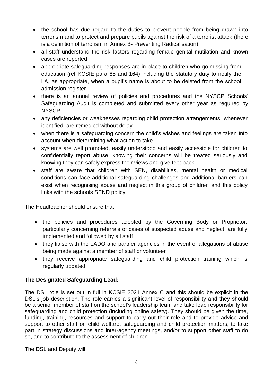- the school has due regard to the duties to prevent people from being drawn into terrorism and to protect and prepare pupils against the risk of a terrorist attack (there is a definition of terrorism in Annex B- Preventing Radicalisation).
- all staff understand the risk factors regarding female genital mutilation and known cases are reported
- appropriate safeguarding responses are in place to children who go missing from education (ref KCSIE para 85 and 164) including the statutory duty to notify the LA, as appropriate, when a pupil's name is about to be deleted from the school admission register
- there is an annual review of policies and procedures and the NYSCP Schools' Safeguarding Audit is completed and submitted every other year as required by **NYSCP**
- any deficiencies or weaknesses regarding child protection arrangements, whenever identified, are remedied without delay
- when there is a safeguarding concern the child's wishes and feelings are taken into account when determining what action to take
- systems are well promoted, easily understood and easily accessible for children to confidentially report abuse, knowing their concerns will be treated seriously and knowing they can safely express their views and give feedback
- staff are aware that children with SEN, disabilities, mental health or medical conditions can face additional safeguarding challenges and additional barriers can exist when recognising abuse and neglect in this group of children and this policy links with the schools SEND policy

The Headteacher should ensure that:

- the policies and procedures adopted by the Governing Body or Proprietor, particularly concerning referrals of cases of suspected abuse and neglect, are fully implemented and followed by all staff
- they liaise with the LADO and partner agencies in the event of allegations of abuse being made against a member of staff or volunteer
- they receive appropriate safeguarding and child protection training which is regularly updated

## **The Designated Safeguarding Lead:**

The DSL role is set out in full in KCSIE 2021 Annex C and this should be explicit in the DSL's job description. The role carries a significant level of responsibility and they should be a senior member of staff on the school's leadership team and take lead responsibility for safeguarding and child protection (including online safety). They should be given the time, funding, training, resources and support to carry out their role and to provide advice and support to other staff on child welfare, safeguarding and child protection matters, to take part in strategy discussions and inter-agency meetings, and/or to support other staff to do so, and to contribute to the assessment of children.

The DSL and Deputy will: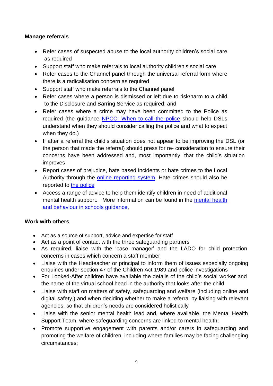## **Manage referrals**

- Refer cases of suspected abuse to the local authority children's social care as required
- Support staff who make referrals to local authority children's social care
- Refer cases to the Channel panel through the universal referral form where there is a radicalisation concern as required
- Support staff who make referrals to the Channel panel
- Refer cases where a person is dismissed or left due to risk/harm to a child to the Disclosure and Barring Service as required; and
- Refer cases where a crime may have been committed to the Police as required (the guidance NPCC- [When to call the police](https://www.npcc.police.uk/documents/Children%20and%20Young%20people/When%20to%20call%20the%20police%20guidance%20for%20schools%20and%20colleges.pdf) should help DSLs understand when they should consider calling the police and what to expect when they do.)
- If after a referral the child's situation does not appear to be improving the DSL (or the person that made the referral) should press for re- consideration to ensure their concerns have been addressed and, most importantly, that the child's situation improves
- Report cases of prejudice, hate based incidents or hate crimes to the Local Authority through the [online reporting system.](https://consult.northyorks.gov.uk/snapwebhost/s.asp?k=146952740744) Hate crimes should also be reported to [the police](http://www.report-it.org.uk/your_police_force)
- Access a range of advice to help them identify children in need of additional mental health support. More information can be found in the [mental health](https://www.gov.uk/government/publications/mental-health-and-behaviour-in-schools--2)  [and behaviour in schools guidance,](https://www.gov.uk/government/publications/mental-health-and-behaviour-in-schools--2)

## **Work with others**

- Act as a source of support, advice and expertise for staff
- Act as a point of contact with the three safeguarding partners
- As required, liaise with the 'case manager' and the LADO for child protection concerns in cases which concern a staff member
- Liaise with the Headteacher or principal to inform them of issues especially ongoing enquiries under section 47 of the Children Act 1989 and police investigations
- For Looked-After children have available the details of the child's social worker and the name of the virtual school head in the authority that looks after the child
- Liaise with staff on matters of safety, safeguarding and welfare (including online and digital safety,) and when deciding whether to make a referral by liaising with relevant agencies, so that children's needs are considered holistically
- Liaise with the senior mental health lead and, where available, the Mental Health Support Team, where safeguarding concerns are linked to mental health;
- Promote supportive engagement with parents and/or carers in safeguarding and promoting the welfare of children, including where families may be facing challenging circumstances;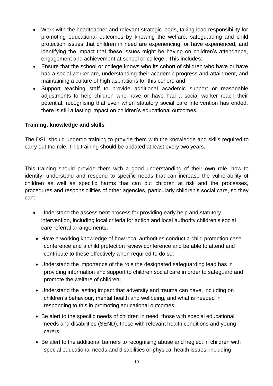- Work with the headteacher and relevant strategic leads, taking lead responsibility for promoting educational outcomes by knowing the welfare, safeguarding and child protection issues that children in need are experiencing, or have experienced, and identifying the impact that these issues might be having on children's attendance, engagement and achievement at school or college . This includes:
- Ensure that the school or college knows who its cohort of children who have or have had a social worker are, understanding their academic progress and attainment, and maintaining a culture of high aspirations for this cohort; and,
- Support teaching staff to provide additional academic support or reasonable adjustments to help children who have or have had a social worker reach their potential, recognising that even when statutory social care intervention has ended, there is still a lasting impact on children's educational outcomes.

## **Training, knowledge and skills**

The DSL should undergo training to provide them with the knowledge and skills required to carry out the role. This training should be updated at least every two years.

This training should provide them with a good understanding of their own role, how to identify, understand and respond to specific needs that can increase the vulnerability of children as well as specific harms that can put children at risk and the processes, procedures and responsibilities of other agencies, particularly children's social care, so they can:

- Understand the assessment process for providing early help and statutory intervention, including local criteria for action and local authority children's social care referral arrangements;
	- Have a working knowledge of how local authorities conduct a child protection case conference and a child protection review conference and be able to attend and contribute to these effectively when required to do so;
	- Understand the importance of the role the designated safeguarding lead has in providing information and support to children social care in order to safeguard and promote the welfare of children;
	- Understand the lasting impact that adversity and trauma can have, including on children's behaviour, mental health and wellbeing, and what is needed in responding to this in promoting educational outcomes;
	- Be alert to the specific needs of children in need, those with special educational needs and disabilities (SEND), those with relevant health conditions and young carers;
	- Be alert to the additional barriers to recognising abuse and neglect in children with special educational needs and disabilities or physical health issues; including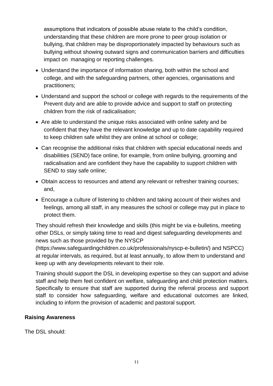assumptions that indicators of possible abuse relate to the child's condition, understanding that these children are more prone to peer group isolation or bullying, that children may be disproportionately impacted by behaviours such as bullying without showing outward signs and communication barriers and difficulties impact on managing or reporting challenges.

- Understand the importance of information sharing, both within the school and college, and with the safeguarding partners, other agencies, organisations and practitioners;
- Understand and support the school or college with regards to the requirements of the Prevent duty and are able to provide advice and support to staff on protecting children from the risk of radicalisation;
- Are able to understand the unique risks associated with online safety and be confident that they have the relevant knowledge and up to date capability required to keep children safe whilst they are online at school or college;
- Can recognise the additional risks that children with special educational needs and disabilities (SEND) face online, for example, from online bullying, grooming and radicalisation and are confident they have the capability to support children with SEND to stay safe online;
- Obtain access to resources and attend any relevant or refresher training courses; and,
- Encourage a culture of listening to children and taking account of their wishes and feelings, among all staff, in any measures the school or college may put in place to protect them.

They should refresh their knowledge and skills (this might be via e-bulletins, meeting other DSLs, or simply taking time to read and digest safeguarding developments and news such as those provided by the NYSCP

(https://www.safeguardingchildren.co.uk/professionals/nyscp-e-bulletin/) and NSPCC) at regular intervals, as required, but at least annually, to allow them to understand and keep up with any developments relevant to their role.

Training should support the DSL in developing expertise so they can support and advise staff and help them feel confident on welfare, safeguarding and child protection matters. Specifically to ensure that staff are supported during the referral process and support staff to consider how safeguarding, welfare and educational outcomes are linked, including to inform the provision of academic and pastoral support.

## **Raising Awareness**

The DSL should: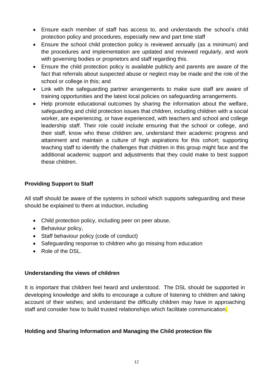- Ensure each member of staff has access to, and understands the school's child protection policy and procedures, especially new and part time staff
- Ensure the school child protection policy is reviewed annually (as a minimum) and the procedures and implementation are updated and reviewed regularly, and work with governing bodies or proprietors and staff regarding this.
- Ensure the child protection policy is available publicly and parents are aware of the fact that referrals about suspected abuse or neglect may be made and the role of the school or college in this; and
- Link with the safeguarding partner arrangements to make sure staff are aware of training opportunities and the latest local policies on safeguarding arrangements.
- Help promote educational outcomes by sharing the information about the welfare, safeguarding and child protection issues that children, including children with a social worker, are experiencing, or have experienced, with teachers and school and college leadership staff. Their role could include ensuring that the school or college, and their staff, know who these children are, understand their academic progress and attainment and maintain a culture of high aspirations for this cohort; supporting teaching staff to identify the challenges that children in this group might face and the additional academic support and adjustments that they could make to best support these children.

## **Providing Support to Staff**

All staff should be aware of the systems in school which supports safeguarding and these should be explained to them at induction, including

- Child protection policy, including peer on peer abuse,
- Behaviour policy,
- Staff behaviour policy (code of conduct)
- Safeguarding response to children who go missing from education
- Role of the DSL.

## **Understanding the views of children**

It is important that children feel heard and understood. The DSL should be supported in developing knowledge and skills to encourage a culture of listening to children and taking account of their wishes; and understand the difficulty children may have in approaching staff and consider how to build trusted relationships which facilitate communication.

## **Holding and Sharing Information and Managing the Child protection file**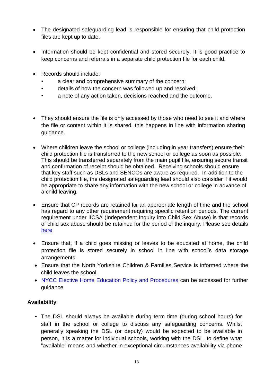- The designated safeguarding lead is responsible for ensuring that child protection files are kept up to date.
- Information should be kept confidential and stored securely. It is good practice to keep concerns and referrals in a separate child protection file for each child.
- Records should include:
	- a clear and comprehensive summary of the concern;
	- details of how the concern was followed up and resolved;
	- a note of any action taken, decisions reached and the outcome.
- They should ensure the file is only accessed by those who need to see it and where the file or content within it is shared, this happens in line with information sharing guidance.
- Where children leave the school or college (including in year transfers) ensure their child protection file is transferred to the new school or college as soon as possible. This should be transferred separately from the main pupil file, ensuring secure transit and confirmation of receipt should be obtained. Receiving schools should ensure that key staff such as DSLs and SENCOs are aware as required. In addition to the child protection file, the designated safeguarding lead should also consider if it would be appropriate to share any information with the new school or college in advance of a child leaving.
- Ensure that CP records are retained for an appropriate length of time and the school has regard to any other requirement requiring specific retention periods. The current requirement under IICSA (Independent Inquiry into Child Sex Abuse) is that records of child sex abuse should be retained for the period of the inquiry. Please see details [here](https://www.iicsa.org.uk/letter-to-local-authority-ceos)
- Ensure that, if a child goes missing or leaves to be educated at home, the child protection file is stored securely in school in line with school's data storage arrangements.
- Ensure that the North Yorkshire Children & Families Service is informed where the child leaves the school.
- NYCC Elective Home [Education Policy and Procedures](https://cyps.northyorks.gov.uk/elective-home-education) can be accessed for further guidance

## **Availability**

• The DSL should always be available during term time (during school hours) for staff in the school or college to discuss any safeguarding concerns. Whilst generally speaking the DSL (or deputy) would be expected to be available in person, it is a matter for individual schools, working with the DSL, to define what "available" means and whether in exceptional circumstances availability via phone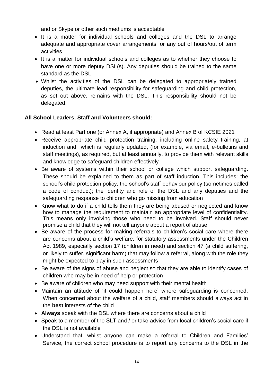and or Skype or other such mediums is acceptable

- It is a matter for individual schools and colleges and the DSL to arrange adequate and appropriate cover arrangements for any out of hours/out of term activities
- It is a matter for individual schools and colleges as to whether they choose to have one or more deputy DSL(s). Any deputies should be trained to the same standard as the DSL.
- Whilst the activities of the DSL can be delegated to appropriately trained deputies, the ultimate lead responsibility for safeguarding and child protection, as set out above, remains with the DSL. This responsibility should not be delegated.

## **All School Leaders, Staff and Volunteers should:**

- Read at least Part one (or Annex A, if appropriate) and Annex B of KCSIE 2021
- Receive appropriate child protection training, including online safety training, at induction and which is regularly updated, (for example, via email, e-bulletins and staff meetings), as required, but at least annually, to provide them with relevant skills and knowledge to safeguard children effectively
- Be aware of systems within their school or college which support safeguarding. These should be explained to them as part of staff induction. This includes: the school's child protection policy; the school's staff behaviour policy (sometimes called a code of conduct); the identity and role of the DSL and any deputies and the safeguarding response to children who go missing from education
- Know what to do if a child tells them they are being abused or neglected and know how to manage the requirement to maintain an appropriate level of confidentiality. This means only involving those who need to be involved. Staff should never promise a child that they will not tell anyone about a report of abuse
- Be aware of the process for making referrals to children's social care where there are concerns about a child's welfare, for statutory assessments under the Children Act 1989, especially section 17 (children in need) and section 47 (a child suffering, or likely to suffer, significant harm) that may follow a referral, along with the role they might be expected to play in such assessments
- Be aware of the signs of abuse and neglect so that they are able to identify cases of children who may be in need of help or protection
- Be aware of children who may need support with their mental health
- Maintain an attitude of 'it could happen here' where safeguarding is concerned. When concerned about the welfare of a child, staff members should always act in the **best** interests of the child
- **Always** speak with the DSL where there are concerns about a child
- Speak to a member of the SLT and / or take advice from local children's social care if the DSL is not available
- Understand that, whilst anyone can make a referral to Children and Families' Service, the correct school procedure is to report any concerns to the DSL in the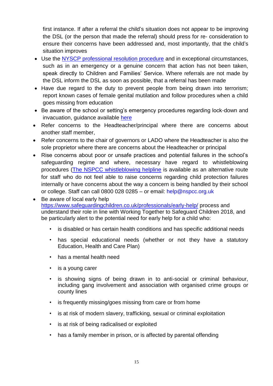first instance. If after a referral the child's situation does not appear to be improving the DSL (or the person that made the referral) should press for re- consideration to ensure their concerns have been addressed and, most importantly, that the child's situation improves

- Use the NYSCP [professional resolution procedure](https://www.safeguardingchildren.co.uk/professionals/practice-guidance/) and in exceptional circumstances, such as in an emergency or a genuine concern that action has not been taken, speak directly to Children and Families' Service. Where referrals are not made by the DSL inform the DSL as soon as possible, that a referral has been made
- Have due regard to the duty to prevent people from being drawn into terrorism; report known cases of female genital mutilation and follow procedures when a child goes missing from education
- Be aware of the school or setting's emergency procedures regarding lock-down and invacuation, guidance available [here](https://cyps.northyorks.gov.uk/school-emergency-response)
- Refer concerns to the Headteacher/principal where there are concerns about another staff member,
- Refer concerns to the chair of governors or LADO where the Headteacher is also the sole proprietor where there are concerns about the Headteacher or principal
- Rise concerns about poor or unsafe practices and potential failures in the school's safeguarding regime and where, necessary have regard to whistleblowing procedures [\(The NSPCC whistleblowing helpline](https://www.nspcc.org.uk/what-you-can-do/report-abuse/dedicated-helplines/whistleblowing-advice-line/) is available as an alternative route for staff who do not feel able to raise concerns regarding child protection failures internally or have concerns about the way a concern is being handled by their school or college. Staff can call 0800 028 0285 – or email: [help@nspcc.org.uk](mailto:help@nspcc.org.uk)
- Be aware of local early help <https://www.safeguardingchildren.co.uk/professionals/early-help/> process and understand their role in line with Working Together to Safeguard Children 2018, and be particularly alert to the potential need for early help for a child who:
	- is disabled or has certain health conditions and has specific additional needs
	- has special educational needs (whether or not they have a statutory Education, Health and Care Plan)
	- has a mental health need
	- is a young carer
	- is showing signs of being drawn in to anti-social or criminal behaviour, including gang involvement and association with organised crime groups or county lines
	- is frequently missing/goes missing from care or from home
	- is at risk of modern slavery, trafficking, sexual or criminal exploitation
	- is at risk of being radicalised or exploited
	- has a family member in prison, or is affected by parental offending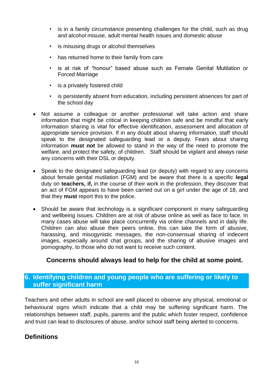- is in a family circumstance presenting challenges for the child, such as drug and alcohol misuse, adult mental health issues and domestic abuse
- is misusing drugs or alcohol themselves
- has returned home to their family from care
- is at risk of "honour" based abuse such as Female Genital Mutilation or Forced Marriage
- is a privately fostered child
- is persistently absent from education, including persistent absences for part of the school day
- Not assume a colleague or another professional will take action and share information that might be critical in keeping children safe and be mindful that early information sharing is vital for effective identification, assessment and allocation of appropriate service provision. If in any doubt about sharing information, staff should speak to the designated safeguarding lead or a deputy. Fears about sharing information **must not** be allowed to stand in the way of the need to promote the welfare, and protect the safety, of children. Staff should be vigilant and always raise any concerns with their DSL or deputy.
- Speak to the designated safeguarding lead (or deputy) with regard to any concerns about female genital mutilation (FGM) and be aware that there is a specific **legal**  duty on **teachers, if,** in the course of their work in the profession, they discover that an act of FGM appears to have been carried out on a girl under the age of 18, and that they **must** report this to the police.
- Should be aware that technology is a significant component in many safeguarding and wellbeing issues. Children are at risk of abuse online as well as face to face. In many cases abuse will take place concurrently via online channels and in daily life. Children can also abuse their peers online, this can take the form of abusive, harassing, and misogynistic messages, the non-consensual sharing of indecent images, especially around chat groups, and the sharing of abusive images and pornography, to those who do not want to receive such content.

# **Concerns should always lead to help for the child at some point.**

## <span id="page-15-0"></span>**6. Identifying children and young people who are suffering or likely to suffer significant harm**

Teachers and other adults in school are well placed to observe any physical, emotional or behavioural signs which indicate that a child may be suffering significant harm. The relationships between staff, pupils, parents and the public which foster respect, confidence and trust can lead to disclosures of abuse, and/or school staff being alerted to concerns.

# **Definitions**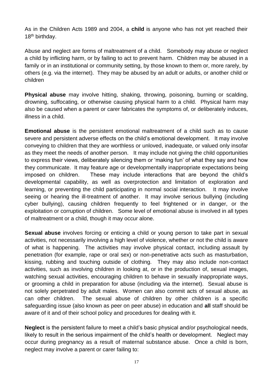As in the Children Acts 1989 and 2004, a **child** is anyone who has not yet reached their 18<sup>th</sup> birthday.

Abuse and neglect are forms of maltreatment of a child. Somebody may abuse or neglect a child by inflicting harm, or by failing to act to prevent harm. Children may be abused in a family or in an institutional or community setting, by those known to them or, more rarely, by others (e.g. via the internet). They may be abused by an adult or adults, or another child or children

**Physical abuse** may involve hitting, shaking, throwing, poisoning, burning or scalding, drowning, suffocating, or otherwise causing physical harm to a child. Physical harm may also be caused when a parent or carer fabricates the symptoms of, or deliberately induces, illness in a child.

**Emotional abuse** is the persistent emotional maltreatment of a child such as to cause severe and persistent adverse effects on the child's emotional development. It may involve conveying to children that they are worthless or unloved, inadequate, or valued only insofar as they meet the needs of another person. It may include not giving the child opportunities to express their views, deliberately silencing them or 'making fun' of what they say and how they communicate. It may feature age or developmentally inappropriate expectations being imposed on children. These may include interactions that are beyond the child's developmental capability, as well as overprotection and limitation of exploration and learning, or preventing the child participating in normal social interaction. It may involve seeing or hearing the ill-treatment of another. It may involve serious bullying (including cyber bullying), causing children frequently to feel frightened or in danger, or the exploitation or corruption of children. Some level of emotional abuse is involved in all types of maltreatment or a child, though it may occur alone.

**Sexual abuse** involves forcing or enticing a child or young person to take part in sexual activities, not necessarily involving a high level of violence, whether or not the child is aware of what is happening. The activities may involve physical contact, including assault by penetration (for example, rape or oral sex) or non-penetrative acts such as masturbation, kissing, rubbing and touching outside of clothing. They may also include non-contact activities, such as involving children in looking at, or in the production of, sexual images, watching sexual activities, encouraging children to behave in sexually inappropriate ways, or grooming a child in preparation for abuse (including via the internet). Sexual abuse is not solely perpetrated by adult males. Women can also commit acts of sexual abuse, as can other children. The sexual abuse of children by other children is a specific safeguarding issue (also known as peer on peer abuse) in education and **all** staff should be aware of it and of their school policy and procedures for dealing with it.

**Neglect** is the persistent failure to meet a child's basic physical and/or psychological needs, likely to result in the serious impairment of the child's health or development. Neglect may occur during pregnancy as a result of maternal substance abuse. Once a child is born, neglect may involve a parent or carer failing to: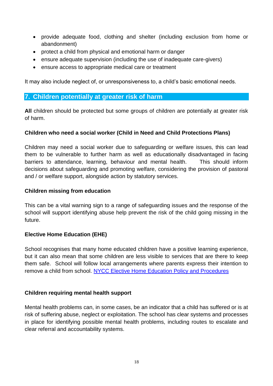- provide adequate food, clothing and shelter (including exclusion from home or abandonment)
- protect a child from physical and emotional harm or danger
- ensure adequate supervision (including the use of inadequate care-givers)
- ensure access to appropriate medical care or treatment

It may also include neglect of, or unresponsiveness to, a child's basic emotional needs.

## <span id="page-17-0"></span>**7. Children potentially at greater risk of harm**

**All** children should be protected but some groups of children are potentially at greater risk of harm.

#### **Children who need a social worker (Child in Need and Child Protections Plans)**

Children may need a social worker due to safeguarding or welfare issues, this can lead them to be vulnerable to further harm as well as educationally disadvantaged in facing barriers to attendance, learning, behaviour and mental health. This should inform decisions about safeguarding and promoting welfare, considering the provision of pastoral and / or welfare support, alongside action by statutory services.

#### **Children missing from education**

This can be a vital warning sign to a range of safeguarding issues and the response of the school will support identifying abuse help prevent the risk of the child going missing in the future.

#### **Elective Home Education (EHE)**

School recognises that many home educated children have a positive learning experience, but it can also mean that some children are less visible to services that are there to keep them safe. School will follow local arrangements where parents express their intention to remove a child from school. [NYCC Elective Home Education Policy and Procedures](https://cyps.northyorks.gov.uk/elective-home-education)

#### **Children requiring mental health support**

Mental health problems can, in some cases, be an indicator that a child has suffered or is at risk of suffering abuse, neglect or exploitation. The school has clear systems and processes in place for identifying possible mental health problems, including routes to escalate and clear referral and accountability systems.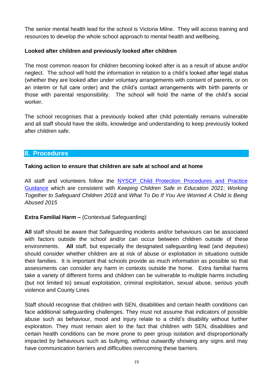The senior mental health lead for the school is Victoria Milne. They will access training and resources to develop the whole school approach to mental health and wellbeing.

## **Looked after children and previously looked after children**

The most common reason for children becoming looked after is as a result of abuse and/or neglect. The school will hold the information in relation to a child's looked after legal status (whether they are looked after under voluntary arrangements with consent of parents, or on an interim or full care order) and the child's contact arrangements with birth parents or those with parental responsibility. The school will hold the name of the child's social worker.

The school recognises that a previously looked after child potentially remains vulnerable and all staff should have the skills, knowledge and understanding to keep previously looked after children safe.

## <span id="page-18-0"></span>**8. Procedures**

## **Taking action to ensure that children are safe at school and at home**

All staff and volunteers follow the NYSCP Child Protection Procedures and Practice [Guidance](http://www.safeguardingchildren.co.uk/) which are consistent with *Keeping Children Safe in Education 2021*; *Working Together to Safeguard Children 2018* and *What To Do If You Are Worried A Child is Being Abused 2015*

## **Extra Familial Harm –** (Contextual Safeguarding)

**All** staff should be aware that Safeguarding incidents and/or behaviours can be associated with factors outside the school and/or can occur between children outside of these environments. **All** staff, but especially the designated safeguarding lead (and deputies) should consider whether children are at risk of abuse or exploitation in situations outside their families. It is important that schools provide as much information as possible so that assessments can consider any harm in contexts outside the home. Extra familial harms take a variety of different forms and children can be vulnerable to multiple harms including (but not limited to) sexual exploitation, criminal exploitation, sexual abuse, serious youth violence and County Lines

Staff should recognise that children with SEN, disabilities and certain health conditions can face additional safeguarding challenges. They must not assume that indicators of possible abuse such as behaviour, mood and injury relate to a child's disability without further exploration. They must remain alert to the fact that children with SEN, disabilities and certain health conditions can be more prone to peer group isolation and disproportionally impacted by behaviours such as bullying, without outwardly showing any signs and may have communication barriers and difficulties overcoming these barriers.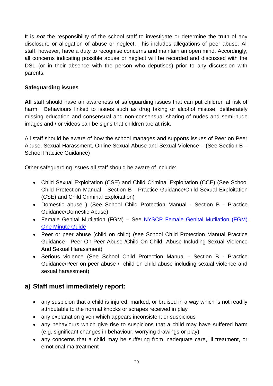It is *not* the responsibility of the school staff to investigate or determine the truth of any disclosure or allegation of abuse or neglect. This includes allegations of peer abuse. All staff, however, have a duty to recognise concerns and maintain an open mind. Accordingly, all concerns indicating possible abuse or neglect will be recorded and discussed with the DSL (or in their absence with the person who deputises) prior to any discussion with parents.

## **Safeguarding issues**

**All** staff should have an awareness of safeguarding issues that can put children at risk of harm. Behaviours linked to issues such as drug taking or alcohol misuse, deliberately missing education and consensual and non-consensual sharing of nudes and semi-nude images and / or videos can be signs that children are at risk.

All staff should be aware of how the school manages and supports issues of Peer on Peer Abuse, Sexual Harassment, Online Sexual Abuse and Sexual Violence – (See Section B – School Practice Guidance)

Other safeguarding issues all staff should be aware of include:

- Child Sexual Exploitation (CSE) and Child Criminal Exploitation (CCE) (See School Child Protection Manual - Section B - Practice Guidance/Child Sexual Exploitation (CSE) and Child Criminal Exploitation)
- Domestic abuse ) (See School Child Protection Manual Section B Practice Guidance/Domestic Abuse)
- Female Genital Mutilation (FGM) See [NYSCP Female Genital Mutilation \(FGM\)](https://www.safeguardingchildren.co.uk/professionals/one-minute-guides/notification-of-female-genital-mutilation-fgm-incidents/)  [One Minute Guide](https://www.safeguardingchildren.co.uk/professionals/one-minute-guides/notification-of-female-genital-mutilation-fgm-incidents/)
- Peer or peer abuse (child on child) (see School Child Protection Manual Practice Guidance - Peer On Peer Abuse /Child On Child Abuse Including Sexual Violence And Sexual Harassment)
- Serious violence (See School Child Protection Manual Section B Practice Guidance/Peer on peer abuse / child on child abuse including sexual violence and sexual harassment)

# **a) Staff must immediately report:**

- any suspicion that a child is injured, marked, or bruised in a way which is not readily attributable to the normal knocks or scrapes received in play
- any explanation given which appears inconsistent or suspicious
- any behaviours which give rise to suspicions that a child may have suffered harm (e.g. significant changes in behaviour, worrying drawings or play)
- any concerns that a child may be suffering from inadequate care, ill treatment, or emotional maltreatment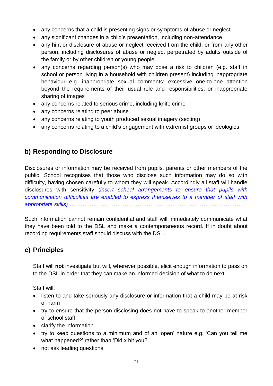- any concerns that a child is presenting signs or symptoms of abuse or neglect
- any significant changes in a child's presentation, including non-attendance
- any hint or disclosure of abuse or neglect received from the child, or from any other person, including disclosures of abuse or neglect perpetrated by adults outside of the family or by other children or young people
- any concerns regarding person(s) who may pose a risk to children (e.g. staff in school or person living in a household with children present) including inappropriate behaviour e.g. inappropriate sexual comments; excessive one-to-one attention beyond the requirements of their usual role and responsibilities; or inappropriate sharing of images
- any concerns related to serious crime, including knife crime
- any concerns relating to peer abuse
- any concerns relating to youth produced sexual imagery (sexting)
- any concerns relating to a child's engagement with extremist groups or ideologies

# **b) Responding to Disclosure**

Disclosures or information may be received from pupils, parents or other members of the public. School recognises that those who disclose such information may do so with difficulty, having chosen carefully to whom they will speak. Accordingly all staff will handle disclosures with sensitivity (*insert school arrangements to ensure that pupils with communication difficulties are enabled to express themselves to a member of staff with appropriate skills) ……………………………………………………………………………………*

Such information cannot remain confidential and staff will immediately communicate what they have been told to the DSL and make a contemporaneous record. If in doubt about recording requirements staff should discuss with the DSL.

# **c) Principles**

Staff will **not** investigate but will, wherever possible, elicit enough information to pass on to the DSL in order that they can make an informed decision of what to do next.

Staff will:

- listen to and take seriously any disclosure or information that a child may be at risk of harm
- try to ensure that the person disclosing does not have to speak to another member of school staff
- clarify the information
- try to keep questions to a minimum and of an 'open' nature e.g. 'Can you tell me what happened?' rather than 'Did x hit you?'
- not ask leading questions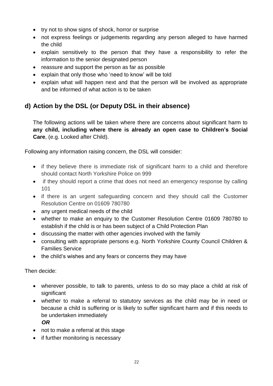- try not to show signs of shock, horror or surprise
- not express feelings or judgements regarding any person alleged to have harmed the child
- explain sensitively to the person that they have a responsibility to refer the information to the senior designated person
- reassure and support the person as far as possible
- explain that only those who 'need to know' will be told
- explain what will happen next and that the person will be involved as appropriate and be informed of what action is to be taken

# **d) Action by the DSL (or Deputy DSL in their absence)**

The following actions will be taken where there are concerns about significant harm to **any child, including where there is already an open case to Children's Social Care**, (e.g. Looked after Child).

Following any information raising concern, the DSL will consider:

- if they believe there is immediate risk of significant harm to a child and therefore should contact North Yorkshire Police on 999
- if they should report a crime that does not need an emergency response by calling 101
- if there is an urgent safeguarding concern and they should call the Customer Resolution Centre on 01609 780780
- any urgent medical needs of the child
- whether to make an enquiry to the Customer Resolution Centre 01609 780780 to establish if the child is or has been subject of a Child Protection Plan
- discussing the matter with other agencies involved with the family
- consulting with appropriate persons e.g. North Yorkshire County Council Children & Families Service
- the child's wishes and any fears or concerns they may have

Then decide:

- wherever possible, to talk to parents, unless to do so may place a child at risk of significant
- whether to make a referral to statutory services as the child may be in need or because a child is suffering or is likely to suffer significant harm and if this needs to be undertaken immediately  *OR*
- not to make a referral at this stage
- if further monitoring is necessary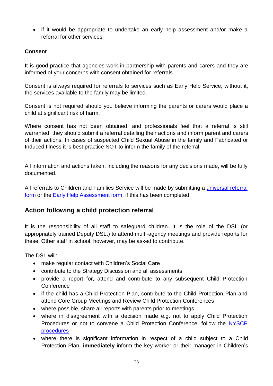• if it would be appropriate to undertake an early help assessment and/or make a referral for other services

## **Consent**

It is good practice that agencies work in partnership with parents and carers and they are informed of your concerns with consent obtained for referrals.

Consent is always required for referrals to services such as Early Help Service, without it, the services available to the family may be limited.

Consent is not required should you believe informing the parents or carers would place a child at significant risk of harm.

Where consent has not been obtained, and professionals feel that a referral is still warranted, they should submit a referral detailing their actions and inform parent and carers of their actions. In cases of suspected Child Sexual Abuse in the family and Fabricated or Induced Illness it is best practice NOT to inform the family of the referral.

All information and actions taken, including the reasons for any decisions made, will be fully documented.

All referrals to Children and Families Service will be made by submitting a [universal](https://www.safeguardingchildren.co.uk/about-us/worried-about-a-child/) referral [form](https://www.safeguardingchildren.co.uk/about-us/worried-about-a-child/) or the [Early Help Assessment form,](https://www.safeguardingchildren.co.uk/about-us/worried-about-a-child/) if this has been completed

# **Action following a child protection referral**

It is the responsibility of all staff to safeguard children. It is the role of the DSL (or appropriately trained Deputy DSL.) to attend multi-agency meetings and provide reports for these. Other staff in school, however, may be asked to contribute.

The DSL will:

- make regular contact with Children's Social Care
- contribute to the Strategy Discussion and all assessments
- provide a report for, attend and contribute to any subsequent Child Protection **Conference**
- if the child has a Child Protection Plan, contribute to the Child Protection Plan and attend Core Group Meetings and Review Child Protection Conferences
- where possible, share all reports with parents prior to meetings
- where in disagreement with a decision made e.g. not to apply Child Protection Procedures or not to convene a Child Protection Conference, follow the [NYSCP](https://www.safeguardingchildren.co.uk/professionals/nyscb-procedures/) [procedures](https://www.safeguardingchildren.co.uk/professionals/nyscb-procedures/)
- where there is significant information in respect of a child subject to a Child Protection Plan, **immediately** inform the key worker or their manager in Children's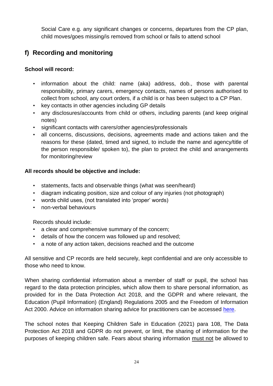Social Care e.g. any significant changes or concerns, departures from the CP plan, child moves/goes missing/is removed from school or fails to attend school

# **f) Recording and monitoring**

## **School will record:**

- information about the child: name (aka) address, dob., those with parental responsibility, primary carers, emergency contacts, names of persons authorised to collect from school, any court orders, if a child is or has been subject to a CP Plan.
- key contacts in other agencies including GP details
- any disclosures/accounts from child or others, including parents (and keep original notes)
- significant contacts with carers/other agencies/professionals
- all concerns, discussions, decisions, agreements made and actions taken and the reasons for these (dated, timed and signed, to include the name and agency/title of the person responsible/ spoken to), the plan to protect the child and arrangements for monitoring/review

## **All records should be objective and include:**

- statements, facts and observable things (what was seen/heard)
- diagram indicating position, size and colour of any injuries (not photograph)
- words child uses, (not translated into 'proper' words)
- non-verbal behaviours

Records should include:

- a clear and comprehensive summary of the concern;
- details of how the concern was followed up and resolved;
- a note of any action taken, decisions reached and the outcome

All sensitive and CP records are held securely, kept confidential and are only accessible to those who need to know.

When sharing confidential information about a member of staff or pupil, the school has regard to the data protection principles, which allow them to share personal information, as provided for in the Data Protection Act 2018, and the GDPR and where relevant, the Education (Pupil Information) (England) Regulations 2005 and the Freedom of Information Act 2000. Advice on information sharing advice for practitioners can be accessed [here.](https://www.gov.uk/government/publications/safeguarding-practitioners-information-sharing-advice)

The school notes that Keeping Children Safe in Education (2021) para 108, The Data Protection Act 2018 and GDPR do not prevent, or limit, the sharing of information for the purposes of keeping children safe. Fears about sharing information must not be allowed to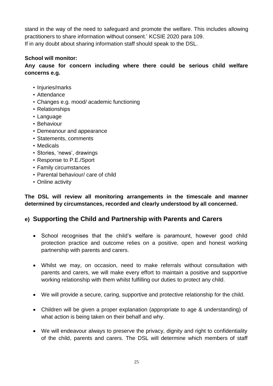stand in the way of the need to safeguard and promote the welfare. This includes allowing practitioners to share information without consent.' KCSIE 2020 para 109. If in any doubt about sharing information staff should speak to the DSL.

## **School will monitor:**

**Any cause for concern including where there could be serious child welfare concerns e.g.** 

- Injuries/marks
- Attendance
- Changes e.g. mood/ academic functioning
- Relationships
- Language
- Behaviour
- Demeanour and appearance
- Statements, comments
- Medicals
- Stories, 'news', drawings
- Response to P.E./Sport
- Family circumstances
- Parental behaviour/ care of child
- Online activity

**The DSL will review all monitoring arrangements in the timescale and manner determined by circumstances, recorded and clearly understood by all concerned.**

# **e) Supporting the Child and Partnership with Parents and Carers**

- School recognises that the child's welfare is paramount, however good child protection practice and outcome relies on a positive, open and honest working partnership with parents and carers.
- Whilst we may, on occasion, need to make referrals without consultation with parents and carers, we will make every effort to maintain a positive and supportive working relationship with them whilst fulfilling our duties to protect any child.
- We will provide a secure, caring, supportive and protective relationship for the child.
- Children will be given a proper explanation (appropriate to age & understanding) of what action is being taken on their behalf and why.
- We will endeavour always to preserve the privacy, dignity and right to confidentiality of the child, parents and carers. The DSL will determine which members of staff